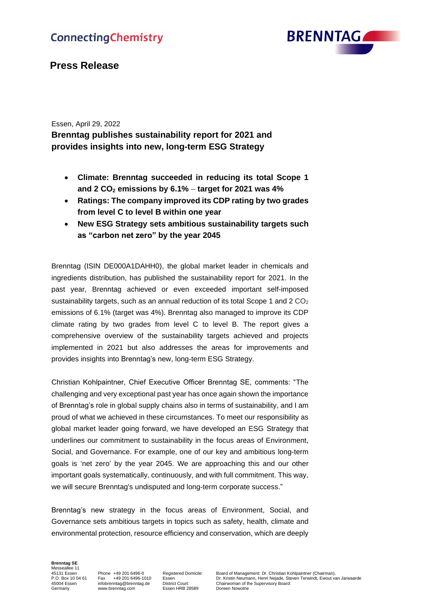

## **Press Release**

## Essen, April 29, 2022

**Brenntag publishes sustainability report for 2021 and provides insights into new, long-term ESG Strategy**

- **Climate: Brenntag succeeded in reducing its total Scope 1 and 2 CO<sup>2</sup> emissions by 6.1%** – **target for 2021 was 4%**
- **Ratings: The company improved its CDP rating by two grades from level C to level B within one year**
- **New ESG Strategy sets ambitious sustainability targets such as "carbon net zero" by the year 2045**

Brenntag (ISIN DE000A1DAHH0), the global market leader in chemicals and ingredients distribution, has published the sustainability report for 2021. In the past year, Brenntag achieved or even exceeded important self-imposed sustainability targets, such as an annual reduction of its total Scope 1 and  $2 \text{ CO}_2$ emissions of 6.1% (target was 4%). Brenntag also managed to improve its CDP climate rating by two grades from level C to level B. The report gives a comprehensive overview of the sustainability targets achieved and projects implemented in 2021 but also addresses the areas for improvements and provides insights into Brenntag's new, long-term ESG Strategy.

Christian Kohlpaintner, Chief Executive Officer Brenntag SE, comments: "The challenging and very exceptional past year has once again shown the importance of Brenntag's role in global supply chains also in terms of sustainability, and I am proud of what we achieved in these circumstances. To meet our responsibility as global market leader going forward, we have developed an ESG Strategy that underlines our commitment to sustainability in the focus areas of Environment, Social, and Governance. For example, one of our key and ambitious long-term goals is 'net zero' by the year 2045. We are approaching this and our other important goals systematically, continuously, and with full commitment. This way, we will secure Brenntag's undisputed and long-term corporate success."

Brenntag's new strategy in the focus areas of Environment, Social, and Governance sets ambitious targets in topics such as safety, health, climate and environmental protection, resource efficiency and conservation, which are deeply

**Brenntag SE** Messeallee 11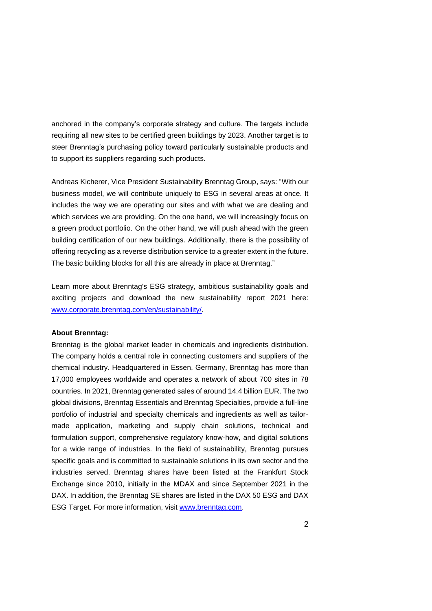anchored in the company's corporate strategy and culture. The targets include requiring all new sites to be certified green buildings by 2023. Another target is to steer Brenntag's purchasing policy toward particularly sustainable products and to support its suppliers regarding such products.

Andreas Kicherer, Vice President Sustainability Brenntag Group, says: "With our business model, we will contribute uniquely to ESG in several areas at once. It includes the way we are operating our sites and with what we are dealing and which services we are providing. On the one hand, we will increasingly focus on a green product portfolio. On the other hand, we will push ahead with the green building certification of our new buildings. Additionally, there is the possibility of offering recycling as a reverse distribution service to a greater extent in the future. The basic building blocks for all this are already in place at Brenntag."

Learn more about Brenntag's ESG strategy, ambitious sustainability goals and exciting projects and download the new sustainability report 2021 here: [www.corporate.brenntag.com/en/sustainability/.](https://corporate.brenntag.com/en/sustainability/)

## **About Brenntag:**

Brenntag is the global market leader in chemicals and ingredients distribution. The company holds a central role in connecting customers and suppliers of the chemical industry. Headquartered in Essen, Germany, Brenntag has more than 17,000 employees worldwide and operates a network of about 700 sites in 78 countries. In 2021, Brenntag generated sales of around 14.4 billion EUR. The two global divisions, Brenntag Essentials and Brenntag Specialties, provide a full-line portfolio of industrial and specialty chemicals and ingredients as well as tailormade application, marketing and supply chain solutions, technical and formulation support, comprehensive regulatory know-how, and digital solutions for a wide range of industries. In the field of sustainability, Brenntag pursues specific goals and is committed to sustainable solutions in its own sector and the industries served. Brenntag shares have been listed at the Frankfurt Stock Exchange since 2010, initially in the MDAX and since September 2021 in the DAX. In addition, the Brenntag SE shares are listed in the DAX 50 ESG and DAX ESG Target. For more information, visit [www.brenntag.com.](http://www.brenntag.com/)